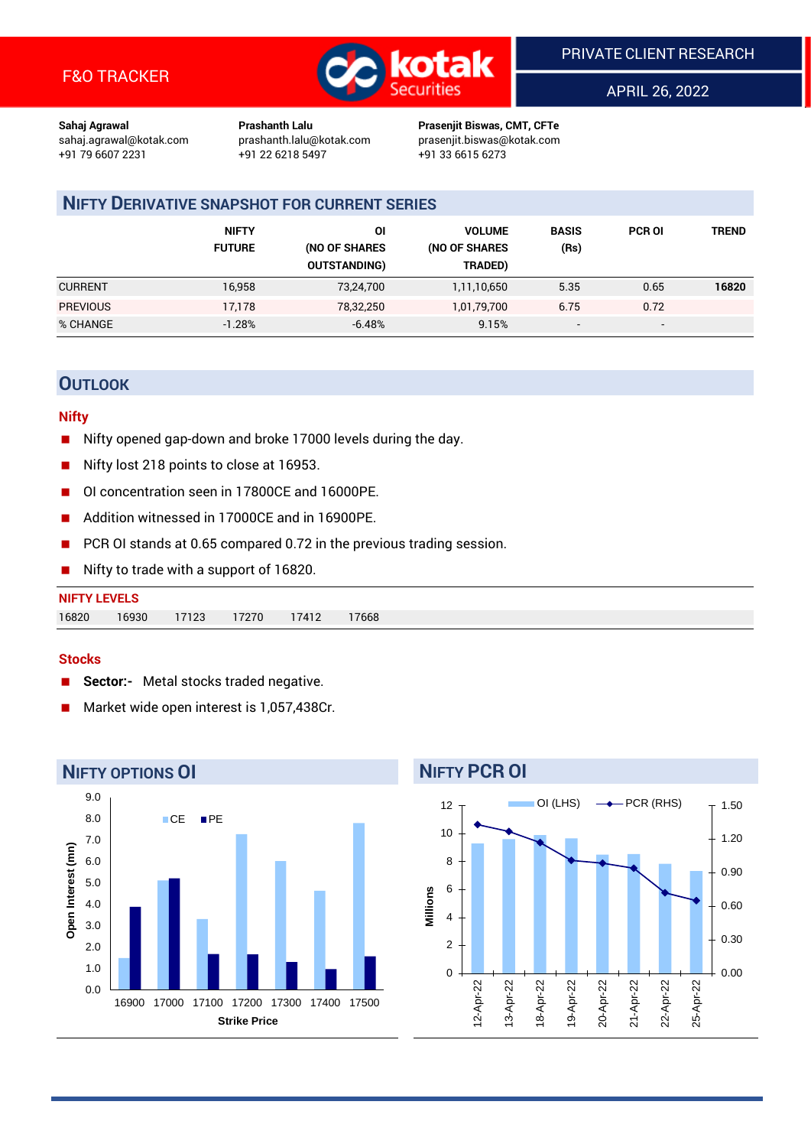

APRIL 26, 2022

**Sahaj Agrawal Prashanth Lalu Prasenjit Biswas, CMT, CFTe** +91 22 6218 5497 +91 33 6615 6273

sahaj.agrawal@kotak.com [prashanth.lalu@kotak.com](mailto:prashanth.lalu@kotak.com) prasenjit.biswas@kotak.com

# **NIFTY DERIVATIVE SNAPSHOT FOR CURRENT SERIES**

|                 | <b>NIFTY</b><br><b>FUTURE</b> | ΟI<br>(NO OF SHARES<br><b>OUTSTANDING)</b> | <b>VOLUME</b><br>(NO OF SHARES<br>TRADED) | <b>BASIS</b><br>(Rs)     | <b>PCR OI</b> | TREND |
|-----------------|-------------------------------|--------------------------------------------|-------------------------------------------|--------------------------|---------------|-------|
| <b>CURRENT</b>  | 16,958                        | 73,24,700                                  | 1,11,10,650                               | 5.35                     | 0.65          | 16820 |
| <b>PREVIOUS</b> | 17,178                        | 78,32,250                                  | 1,01,79,700                               | 6.75                     | 0.72          |       |
| % CHANGE        | $-1.28%$                      | $-6.48%$                                   | 9.15%                                     | $\overline{\phantom{a}}$ | -             |       |

# **OUTLOOK**

## **Nifty**

- Nifty opened gap-down and broke 17000 levels during the day.
- Nifty lost 218 points to close at 16953.
- OI concentration seen in 17800CE and 16000PE.
- Addition witnessed in 17000CE and in 16900PE.
- PCR OI stands at 0.65 compared 0.72 in the previous trading session.
- Nifty to trade with a support of 16820.

| <b>NIFTY LEVELS</b> |       |       |       |       |      |
|---------------------|-------|-------|-------|-------|------|
| 16820               | 16930 | 17123 | 17270 | 17412 | 7668 |

## **Stocks**

- **Sector:-** Metal stocks traded negative.
- Market wide open interest is 1,057,438Cr.



# **NIFTY PCR OI**

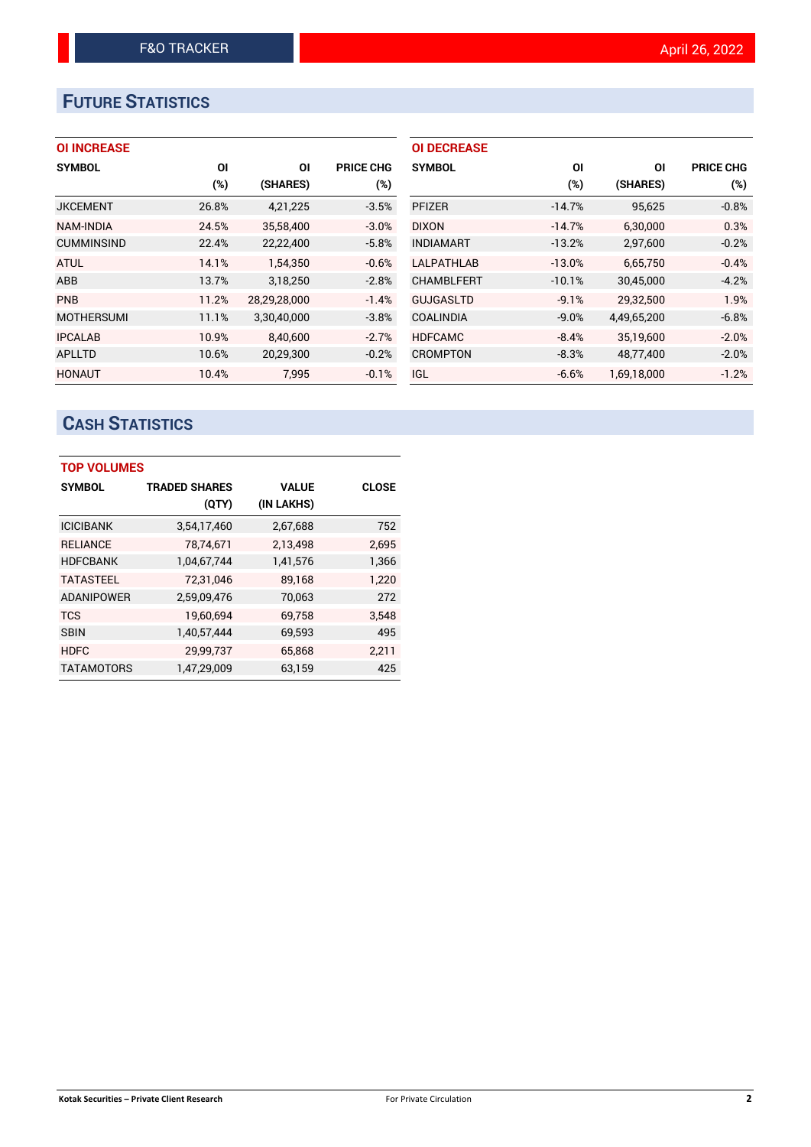# **FUTURE STATISTICS**

## **OI INCREASE**

| <b>SYMBOL</b>     | OI    | ΟI           | <b>PRICE CHG</b> |
|-------------------|-------|--------------|------------------|
|                   | (%)   | (SHARES)     | (%)              |
| <b>JKCEMENT</b>   | 26.8% | 4,21,225     | $-3.5%$          |
| <b>NAM-INDIA</b>  | 24.5% | 35,58,400    | $-3.0%$          |
| <b>CUMMINSIND</b> | 22.4% | 22,22,400    | $-5.8%$          |
| <b>ATUL</b>       | 14.1% | 1,54,350     | $-0.6%$          |
| ABB               | 13.7% | 3,18,250     | $-2.8%$          |
| <b>PNB</b>        | 11.2% | 28,29,28,000 | $-1.4%$          |
| <b>MOTHERSUMI</b> | 11.1% | 3,30,40,000  | $-3.8%$          |
| <b>IPCALAB</b>    | 10.9% | 8.40.600     | $-2.7%$          |
| <b>APLLTD</b>     | 10.6% | 20,29,300    | $-0.2%$          |
| <b>HONAUT</b>     | 10.4% | 7.995        | $-0.1%$          |

| <b>OI DECREASE</b> |          |             |                  |
|--------------------|----------|-------------|------------------|
| <b>SYMBOL</b>      | ΟI       | ΟI          | <b>PRICE CHG</b> |
|                    | (%)      | (SHARES)    | (%)              |
| <b>PFIZER</b>      | $-14.7%$ | 95,625      | $-0.8%$          |
| <b>DIXON</b>       | $-14.7%$ | 6,30,000    | 0.3%             |
| <b>INDIAMART</b>   | $-13.2%$ | 2,97,600    | $-0.2%$          |
| <b>LALPATHLAB</b>  | $-13.0%$ | 6.65.750    | $-0.4%$          |
| <b>CHAMBLFERT</b>  | $-10.1%$ | 30,45,000   | $-4.2%$          |
| <b>GUJGASLTD</b>   | $-9.1%$  | 29,32,500   | 1.9%             |
| <b>COALINDIA</b>   | $-9.0%$  | 4,49,65,200 | $-6.8%$          |
| <b>HDFCAMC</b>     | $-8.4%$  | 35,19,600   | $-2.0%$          |
| <b>CROMPTON</b>    | $-8.3%$  | 48.77.400   | $-2.0%$          |
| <b>IGL</b>         | $-6.6%$  | 1,69,18,000 | $-1.2%$          |

# **CASH STATISTICS**

| <b>TOP VOLUMES</b> |                      |              |              |  |  |  |  |  |
|--------------------|----------------------|--------------|--------------|--|--|--|--|--|
| <b>SYMBOL</b>      | <b>TRADED SHARES</b> | <b>VALUE</b> | <b>CLOSE</b> |  |  |  |  |  |
|                    | (QTY)                | (IN LAKHS)   |              |  |  |  |  |  |
| <b>ICICIBANK</b>   | 3,54,17,460          | 2,67,688     | 752          |  |  |  |  |  |
| <b>RELIANCE</b>    | 78,74,671            | 2,13,498     | 2.695        |  |  |  |  |  |
| <b>HDFCBANK</b>    | 1,04,67,744          | 1,41,576     | 1,366        |  |  |  |  |  |
| <b>TATASTEEL</b>   | 72.31.046            | 89,168       | 1,220        |  |  |  |  |  |
| <b>ADANIPOWER</b>  | 2,59,09,476          | 70,063       | 272          |  |  |  |  |  |
| <b>TCS</b>         | 19,60,694            | 69,758       | 3,548        |  |  |  |  |  |
| <b>SBIN</b>        | 1,40,57,444          | 69,593       | 495          |  |  |  |  |  |
| <b>HDFC</b>        | 29,99,737            | 65,868       | 2,211        |  |  |  |  |  |
| <b>TATAMOTORS</b>  | 1,47,29,009          | 63.159       | 425          |  |  |  |  |  |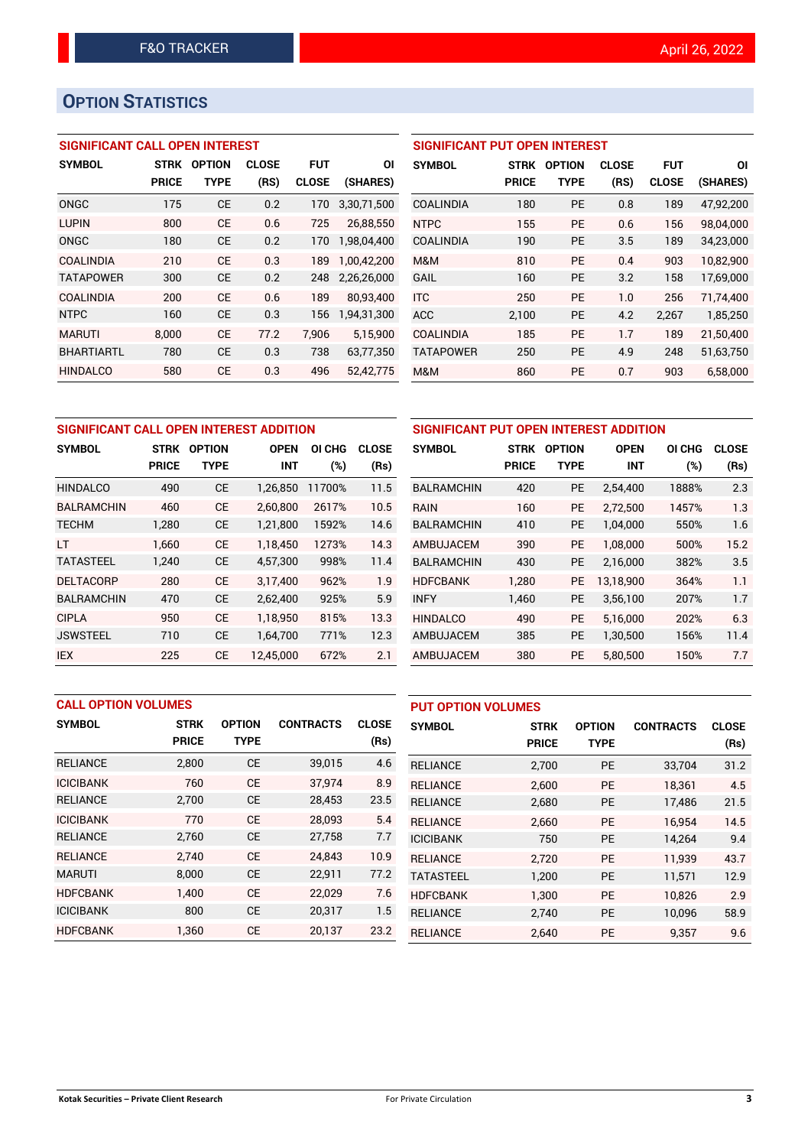# **OPTION STATISTICS**

## **SIGNIFICANT CALL OPEN INTEREST**

| <b>SYMBOL</b>     | <b>STRK</b><br><b>PRICE</b> | <b>OPTION</b><br>TYPE | <b>CLOSE</b><br>(RS) | FUT<br><b>CLOSE</b> | ΟI<br>(SHARES) |
|-------------------|-----------------------------|-----------------------|----------------------|---------------------|----------------|
| ONGC              | 175                         | <b>CE</b>             | 0.2                  | 170                 | 3,30,71,500    |
| <b>LUPIN</b>      | 800                         | CF                    | 0.6                  | 725                 | 26,88,550      |
| ONGC              | 180                         | <b>CE</b>             | 0.2                  | 170                 | 1,98,04,400    |
| COALINDIA         | 210                         | CE                    | 0.3                  | 189                 | 1,00,42,200    |
| <b>TATAPOWER</b>  | 300                         | <b>CE</b>             | 0.2                  | 248                 | 2,26,26,000    |
| <b>COALINDIA</b>  | 200                         | CE                    | 0.6                  | 189                 | 80,93,400      |
| <b>NTPC</b>       | 160                         | СE                    | 0.3                  | 156                 | 1,94,31,300    |
| <b>MARUTI</b>     | 8,000                       | CF                    | 77.2                 | 7.906               | 5,15,900       |
| <b>BHARTIARTL</b> | 780                         | <b>CE</b>             | 0.3                  | 738                 | 63,77,350      |
| <b>HINDALCO</b>   | 580                         | CE                    | 0.3                  | 496                 | 52,42,775      |

| <b>SIGNIFICANT PUT OPEN INTEREST</b> |              |               |              |              |           |  |  |  |  |  |
|--------------------------------------|--------------|---------------|--------------|--------------|-----------|--|--|--|--|--|
| <b>SYMBOL</b>                        | <b>STRK</b>  | <b>OPTION</b> | <b>CLOSE</b> | <b>FUT</b>   | ΟI        |  |  |  |  |  |
|                                      | <b>PRICE</b> | <b>TYPE</b>   | (RS)         | <b>CLOSE</b> | (SHARES)  |  |  |  |  |  |
| <b>COALINDIA</b>                     | 180          | <b>PE</b>     | 0.8          | 189          | 47,92,200 |  |  |  |  |  |
| <b>NTPC</b>                          | 155          | <b>PE</b>     | 0.6          | 156          | 98,04,000 |  |  |  |  |  |
| <b>COALINDIA</b>                     | 190          | <b>PE</b>     | 3.5          | 189          | 34,23,000 |  |  |  |  |  |
| M&M                                  | 810          | <b>PE</b>     | 0.4          | 903          | 10,82,900 |  |  |  |  |  |
| GAIL                                 | 160          | <b>PE</b>     | 3.2          | 158          | 17,69,000 |  |  |  |  |  |
| <b>ITC</b>                           | 250          | <b>PE</b>     | 1.0          | 256          | 71.74.400 |  |  |  |  |  |
| <b>ACC</b>                           | 2,100        | <b>PE</b>     | 4.2          | 2,267        | 1,85,250  |  |  |  |  |  |
| <b>COALINDIA</b>                     | 185          | <b>PE</b>     | 1.7          | 189          | 21,50,400 |  |  |  |  |  |
| <b>TATAPOWER</b>                     | 250          | <b>PE</b>     | 4.9          | 248          | 51,63,750 |  |  |  |  |  |
| M&M                                  | 860          | <b>PE</b>     | 0.7          | 903          | 6,58,000  |  |  |  |  |  |

| SIGNIFICANT CALL OPEN INTEREST ADDITION |                             |                              |                           |               |                      | SIGNIFICANT PUT OPEN INTEREST ADDITION |                             |                              |                           |               |                      |
|-----------------------------------------|-----------------------------|------------------------------|---------------------------|---------------|----------------------|----------------------------------------|-----------------------------|------------------------------|---------------------------|---------------|----------------------|
| <b>SYMBOL</b>                           | <b>STRK</b><br><b>PRICE</b> | <b>OPTION</b><br><b>TYPE</b> | <b>OPEN</b><br><b>INT</b> | OI CHG<br>(%) | <b>CLOSE</b><br>(Rs) | <b>SYMBOL</b>                          | <b>STRK</b><br><b>PRICE</b> | <b>OPTION</b><br><b>TYPE</b> | <b>OPEN</b><br><b>INT</b> | OI CHG<br>(%) | <b>CLOSE</b><br>(Rs) |
| <b>HINDALCO</b>                         | 490                         | <b>CE</b>                    | 1,26,850                  | 11700%        | 11.5                 | <b>BALRAMCHIN</b>                      | 420                         | <b>PE</b>                    | 2,54,400                  | 1888%         | 2.3                  |
| <b>BALRAMCHIN</b>                       | 460                         | <b>CE</b>                    | 2,60,800                  | 2617%         | 10.5                 | <b>RAIN</b>                            | 160                         | <b>PE</b>                    | 2,72,500                  | 1457%         | 1.3                  |
| <b>TECHM</b>                            | 1,280                       | <b>CE</b>                    | 1,21,800                  | 1592%         | 14.6                 | <b>BALRAMCHIN</b>                      | 410                         | <b>PE</b>                    | 1,04,000                  | 550%          | 1.6                  |
| LT                                      | 1.660                       | <b>CE</b>                    | 1,18,450                  | 1273%         | 14.3                 | AMBUJACEM                              | 390                         | <b>PE</b>                    | 1.08.000                  | 500%          | 15.2                 |
| <b>TATASTEEL</b>                        | 1,240                       | <b>CE</b>                    | 4,57,300                  | 998%          | 11.4                 | <b>BALRAMCHIN</b>                      | 430                         | <b>PE</b>                    | 2,16,000                  | 382%          | 3.5                  |
| <b>DELTACORP</b>                        | 280                         | <b>CE</b>                    | 3,17,400                  | 962%          | 1.9                  | <b>HDFCBANK</b>                        | 1.280                       | <b>PE</b>                    | 13.18.900                 | 364%          | 1.1                  |
| <b>BALRAMCHIN</b>                       | 470                         | <b>CE</b>                    | 2,62,400                  | 925%          | 5.9                  | <b>INFY</b>                            | 1,460                       | <b>PE</b>                    | 3,56,100                  | 207%          | 1.7                  |
| <b>CIPLA</b>                            | 950                         | <b>CE</b>                    | 1,18,950                  | 815%          | 13.3                 | <b>HINDALCO</b>                        | 490                         | <b>PE</b>                    | 5,16,000                  | 202%          | 6.3                  |
| <b>JSWSTEEL</b>                         | 710                         | <b>CE</b>                    | 1,64,700                  | 771%          | 12.3                 | AMBUJACEM                              | 385                         | <b>PE</b>                    | 1,30,500                  | 156%          | 11.4                 |
| <b>IEX</b>                              | 225                         | <b>CE</b>                    | 12,45,000                 | 672%          | 2.1                  | AMBUJACEM                              | 380                         | <b>PE</b>                    | 5,80,500                  | 150%          | 7.7                  |

|                  | <b>CALL OPTION VOLUMES</b> |               |                  |              | <b>PUT OPTION VOLUMES</b> |              |               |                  |              |
|------------------|----------------------------|---------------|------------------|--------------|---------------------------|--------------|---------------|------------------|--------------|
| <b>SYMBOL</b>    | <b>STRK</b>                | <b>OPTION</b> | <b>CONTRACTS</b> | <b>CLOSE</b> | <b>SYMBOL</b>             | <b>STRK</b>  | <b>OPTION</b> | <b>CONTRACTS</b> | <b>CLOSE</b> |
|                  | <b>PRICE</b>               | <b>TYPE</b>   |                  | (Rs)         |                           | <b>PRICE</b> | <b>TYPE</b>   |                  | (Rs)         |
| <b>RELIANCE</b>  | 2,800                      | <b>CE</b>     | 39,015           | 4.6          | <b>RELIANCE</b>           | 2,700        | <b>PE</b>     | 33,704           | 31.2         |
| <b>ICICIBANK</b> | 760                        | <b>CE</b>     | 37,974           | 8.9          | <b>RELIANCE</b>           | 2.600        | <b>PE</b>     | 18.361           | 4.5          |
| <b>RELIANCE</b>  | 2,700                      | <b>CE</b>     | 28,453           | 23.5         | <b>RELIANCE</b>           | 2,680        | <b>PE</b>     | 17,486           | 21.5         |
| <b>ICICIBANK</b> | 770                        | <b>CE</b>     | 28,093           | 5.4          | <b>RELIANCE</b>           | 2.660        | <b>PE</b>     | 16.954           | 14.5         |
| <b>RELIANCE</b>  | 2,760                      | <b>CE</b>     | 27,758           | 7.7          | <b>ICICIBANK</b>          | 750          | <b>PE</b>     | 14.264           | 9.4          |
| <b>RELIANCE</b>  | 2.740                      | <b>CE</b>     | 24.843           | 10.9         | <b>RELIANCE</b>           | 2.720        | <b>PE</b>     | 11.939           | 43.7         |
| <b>MARUTI</b>    | 8.000                      | <b>CE</b>     | 22,911           | 77.2         | <b>TATASTEEL</b>          | 1,200        | <b>PE</b>     | 11,571           | 12.9         |
| <b>HDFCBANK</b>  | 1.400                      | <b>CE</b>     | 22,029           | 7.6          | <b>HDFCBANK</b>           | 1.300        | <b>PE</b>     | 10.826           | 2.9          |
| <b>ICICIBANK</b> | 800                        | <b>CE</b>     | 20,317           | 1.5          | <b>RELIANCE</b>           | 2.740        | <b>PE</b>     | 10.096           | 58.9         |
| <b>HDFCBANK</b>  | 1,360                      | <b>CE</b>     | 20,137           | 23.2         | <b>RELIANCE</b>           | 2.640        | <b>PE</b>     | 9.357            | 9.6          |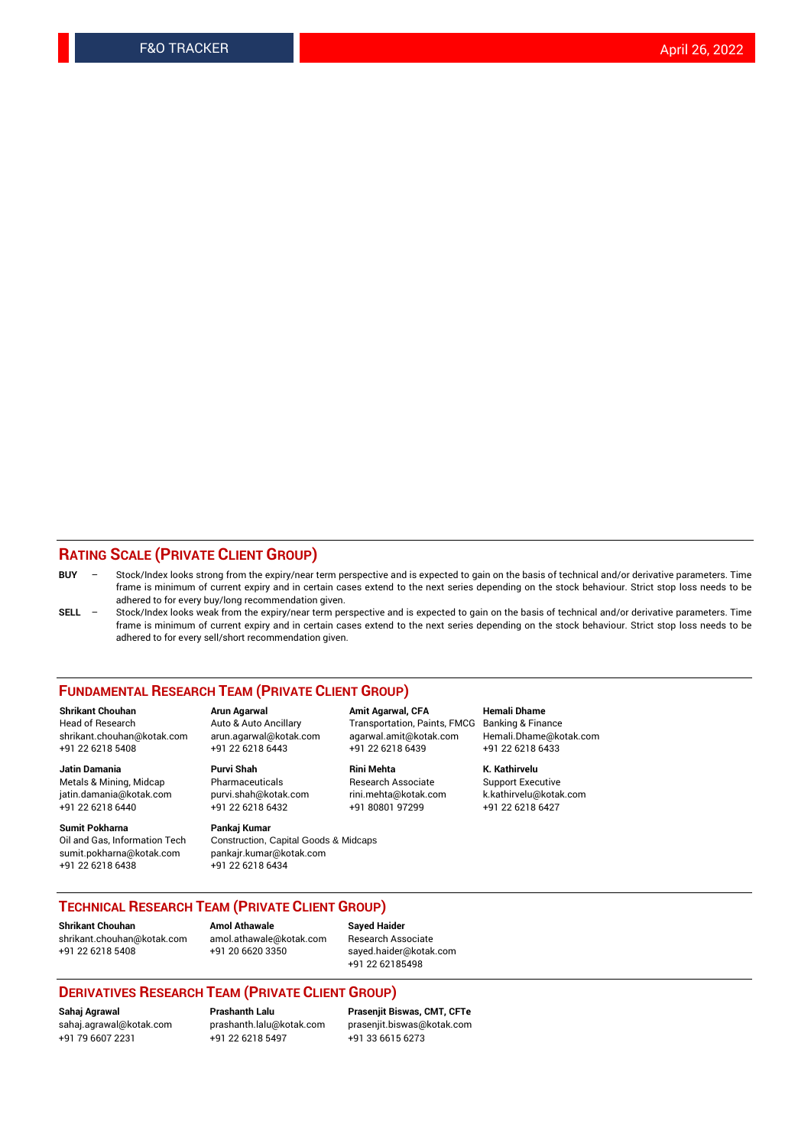## **RATING SCALE (PRIVATE CLIENT GROUP)**

- **BUY**  Stock/Index looks strong from the expiry/near term perspective and is expected to gain on the basis of technical and/or derivative parameters. Time frame is minimum of current expiry and in certain cases extend to the next series depending on the stock behaviour. Strict stop loss needs to be adhered to for every buy/long recommendation given.
- **SELL** Stock/Index looks weak from the expiry/near term perspective and is expected to gain on the basis of technical and/or derivative parameters. Time frame is minimum of current expiry and in certain cases extend to the next series depending on the stock behaviour. Strict stop loss needs to be adhered to for every sell/short recommendation given.

#### **FUNDAMENTAL RESEARCH TEAM (PRIVATE CLIENT GROUP)**

**Shrikant Chouhan Arun Agarwal Amit Agarwal, CFA Hemali Dhame** shrikant.chouhan@kotak.com arun.agarwal@kotak.com agarwal.amit@kotak.com Hemali.Dhame@kotak.com +91 22 6218 5408 +91 22 6218 6443 +91 22 6218 6439 +91 22 6218 6433

Metals & Mining, Midcap Pharmaceuticals Pharmaceuticals Research Associate Support Executive<br>
iatin.damania@kotak.com purvi.shah@kotak.com rini.mehta@kotak.com k.kathirvelu@kotak.com jatin.damania@kotak.com

**Sumit Pokharna** Pankaj Kumar<br>Oil and Gas, Information Tech Construction, sumit.pokharna@kotak.com pankajr.kumar@kotak.com +91 22 6218 6438 +91 22 6218 6434

Construction, Capital Goods & Midcaps

Transportation, Paints, FMCG

**Jatin Damania Purvi Shah Rini Mehta K. Kathirvelu** +91 22 6218 6440 +91 22 6218 6432 +91 80801 97299 +91 22 6218 6427

## **TECHNICAL RESEARCH TEAM (PRIVATE CLIENT GROUP)**

**Shrikant Chouhan Amol Athawale Sayed Haider** [shrikant.chouhan@kotak.com](mailto:shrikant.chouhan@kotak.com) [amol.athawale@kotak.com](mailto:amol.athawale@kotak.com) Research Associate +91 22 6218 5408 +91 20 6620 3350 [sayed.haider@kotak.com](mailto:sayed.haider@kotak.com)

+91 22 62185498

### **DERIVATIVES RESEARCH TEAM (PRIVATE CLIENT GROUP)**

+91 79 6607 2231 +91 22 6218 5497 +91 33 6615 6273

**Sahaj Agrawal Prashanth Lalu Prasenjit Biswas, CMT, CFTe** [prasenjit.biswas@kotak.com](mailto:prasenjit.biswas@kotak.com)